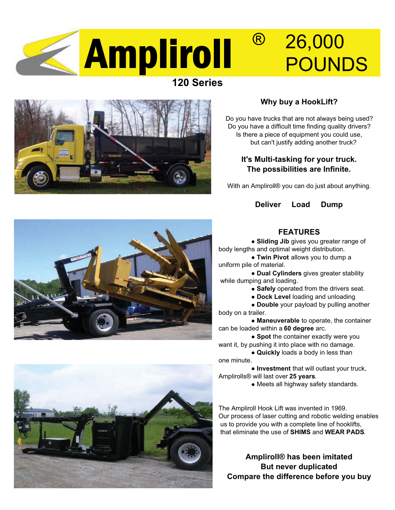

# **120 Series**



## **Why buy a HookLift?**

Do you have trucks that are not always being used? Do you have a difficult time finding quality drivers? Is there a piece of equipment you could use, but can't justify adding another truck?

### **It's Multi-tasking for your truck. The possibilities are Infinite.**

With an Ampliroll® you can do just about anything.

#### **Deliver Load Dump**



### **FEATURES**

**Sliding Jib** gives you greater range of body lengths and optimal weight distribution.

**Twin Pivot** allows you to dump a uniform pile of material.

**Dual Cylinders** gives greater stability while dumping and loading.

**Safely** operated from the drivers seat.

**Dock Level** loading and unloading

**Double** your payload by pulling another body on a trailer.

**Maneuverable** to operate, the container can be loaded within a **60 degree** arc.

**• Spot** the container exactly were you want it, by pushing it into place with no damage.

**Quickly** loads a body in less than one minute.

**Investment** that will outlast your truck, Amplirolls® will last over **25 years**.

Meets all highway safety standards.

The Ampliroll Hook Lift was invented in 1969. Our process of laser cutting and robotic welding enables us to provide you with a complete line of hooklifts, that eliminate the use of **SHIMS** and **WEAR PADS**.

**Ampliroll® has been imitated But never duplicated Compare the difference before you buy**